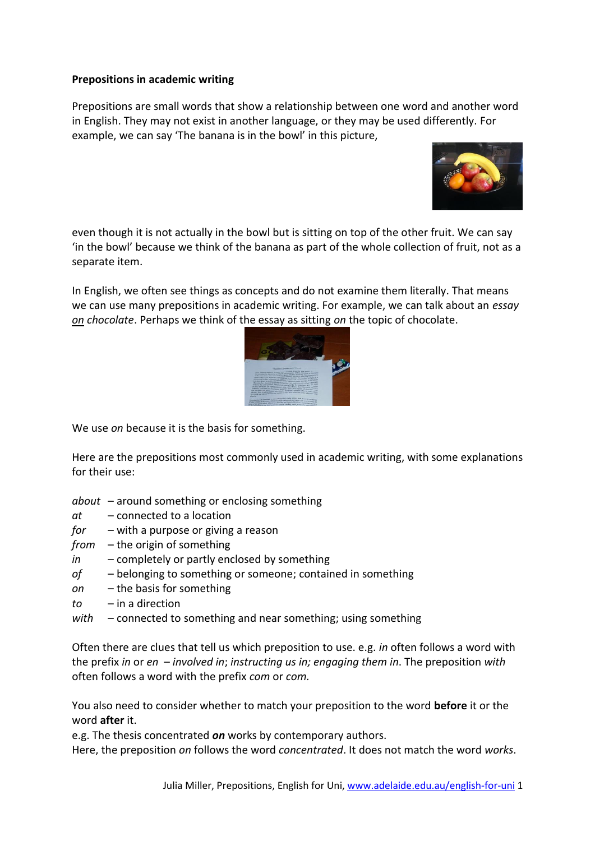## **Prepositions in academic writing**

Prepositions are small words that show a relationship between one word and another word in English. They may not exist in another language, or they may be used differently. For example, we can say 'The banana is in the bowl' in this picture,



even though it is not actually in the bowl but is sitting on top of the other fruit. We can say 'in the bowl' because we think of the banana as part of the whole collection of fruit, not as a separate item.

In English, we often see things as concepts and do not examine them literally. That means we can use many prepositions in academic writing. For example, we can talk about an *essay on chocolate*. Perhaps we think of the essay as sitting *on* the topic of chocolate.



We use *on* because it is the basis for something.

Here are the prepositions most commonly used in academic writing, with some explanations for their use:

- *about* around something or enclosing something
- *at* connected to a location
- *for* with a purpose or giving a reason
- *from* the origin of something
- *in* completely or partly enclosed by something
- *of* belonging to something or someone; contained in something
- *on* the basis for something
- *to* in a direction
- *with* connected to something and near something; using something

Often there are clues that tell us which preposition to use. e.g. *in* often follows a word with the prefix *in* or *en* – *involved in*; *instructing us in; engaging them in*. The preposition *with* often follows a word with the prefix *com* or *com.*

You also need to consider whether to match your preposition to the word **before** it or the word **after** it.

e.g. The thesis concentrated *on* works by contemporary authors.

Here, the preposition *on* follows the word *concentrated*. It does not match the word *works*.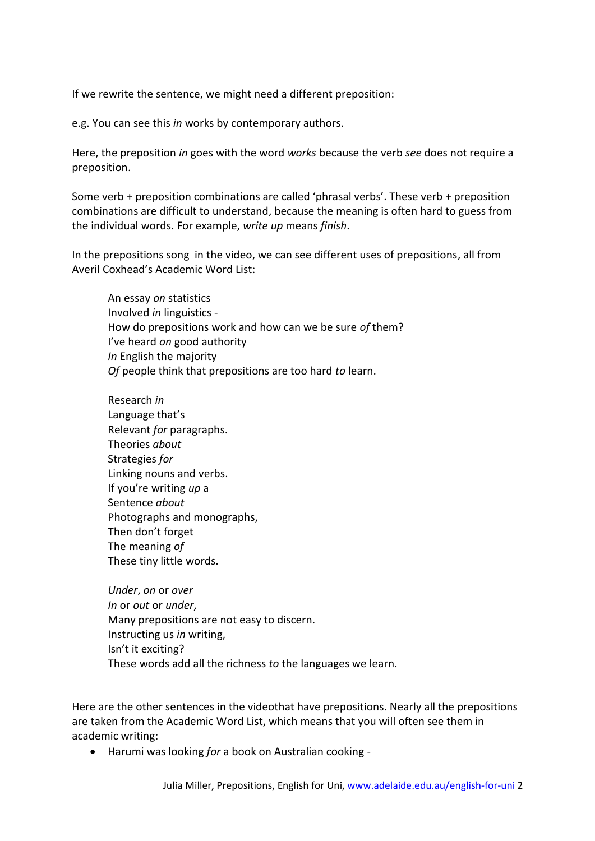If we rewrite the sentence, we might need a different preposition:

e.g. You can see this *in* works by contemporary authors.

Here, the preposition *in* goes with the word *works* because the verb *see* does not require a preposition.

Some verb + preposition combinations are called 'phrasal verbs'. These verb + preposition combinations are difficult to understand, because the meaning is often hard to guess from the individual words. For example, *write up* means *finish*.

In the prepositions song in the video, we can see different uses of prepositions, all from Averil Coxhead's Academic Word List:

An essay *on* statistics Involved *in* linguistics - How do prepositions work and how can we be sure *of* them? I've heard *on* good authority *In* English the majority *Of* people think that prepositions are too hard *to* learn.

Research *in* Language that's Relevant *for* paragraphs. Theories *about* Strategies *for*  Linking nouns and verbs. If you're writing *up* a Sentence *about* Photographs and monographs, Then don't forget The meaning *of* These tiny little words.

*Under*, *on* or *over In* or *out* or *under*, Many prepositions are not easy to discern. Instructing us *in* writing, Isn't it exciting? These words add all the richness *to* the languages we learn.

Here are the other sentences in the videothat have prepositions. Nearly all the prepositions are taken from the Academic Word List, which means that you will often see them in academic writing:

Harumi was looking *for* a book on Australian cooking -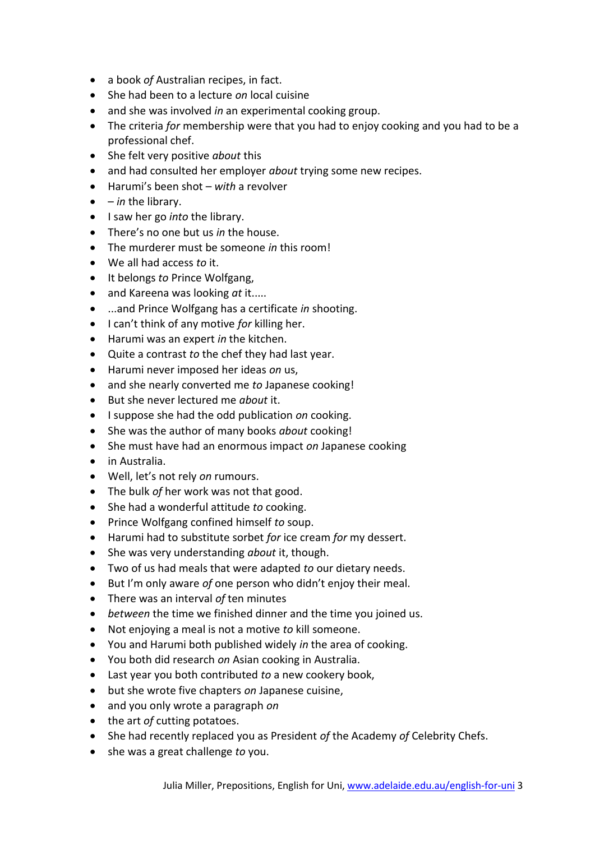- a book *of* Australian recipes, in fact.
- She had been to a lecture *on* local cuisine
- and she was involved *in* an experimental cooking group.
- The criteria *for* membership were that you had to enjoy cooking and you had to be a professional chef.
- She felt very positive *about* this
- and had consulted her employer *about* trying some new recipes.
- Harumi's been shot *with* a revolver
- *in* the library.
- I saw her go *into* the library.
- There's no one but us *in* the house.
- The murderer must be someone *in* this room!
- We all had access *to* it.
- It belongs *to* Prince Wolfgang,
- and Kareena was looking *at* it.....
- ...and Prince Wolfgang has a certificate *in* shooting.
- I can't think of any motive *for* killing her.
- Harumi was an expert *in* the kitchen.
- Quite a contrast *to* the chef they had last year.
- Harumi never imposed her ideas *on* us,
- and she nearly converted me *to* Japanese cooking!
- But she never lectured me *about* it.
- I suppose she had the odd publication *on* cooking.
- She was the author of many books *about* cooking!
- She must have had an enormous impact *on* Japanese cooking
- in Australia.
- Well, let's not rely *on* rumours.
- The bulk *of* her work was not that good.
- She had a wonderful attitude *to* cooking.
- Prince Wolfgang confined himself *to* soup.
- Harumi had to substitute sorbet *for* ice cream *for* my dessert.
- She was very understanding *about* it, though.
- Two of us had meals that were adapted *to* our dietary needs.
- But I'm only aware *of* one person who didn't enjoy their meal.
- There was an interval *of* ten minutes
- *between* the time we finished dinner and the time you joined us.
- Not enjoying a meal is not a motive *to* kill someone.
- You and Harumi both published widely *in* the area of cooking.
- You both did research *on* Asian cooking in Australia.
- Last year you both contributed *to* a new cookery book,
- but she wrote five chapters *on* Japanese cuisine,
- and you only wrote a paragraph *on*
- the art *of* cutting potatoes.
- She had recently replaced you as President *of* the Academy *of* Celebrity Chefs.
- she was a great challenge *to* you.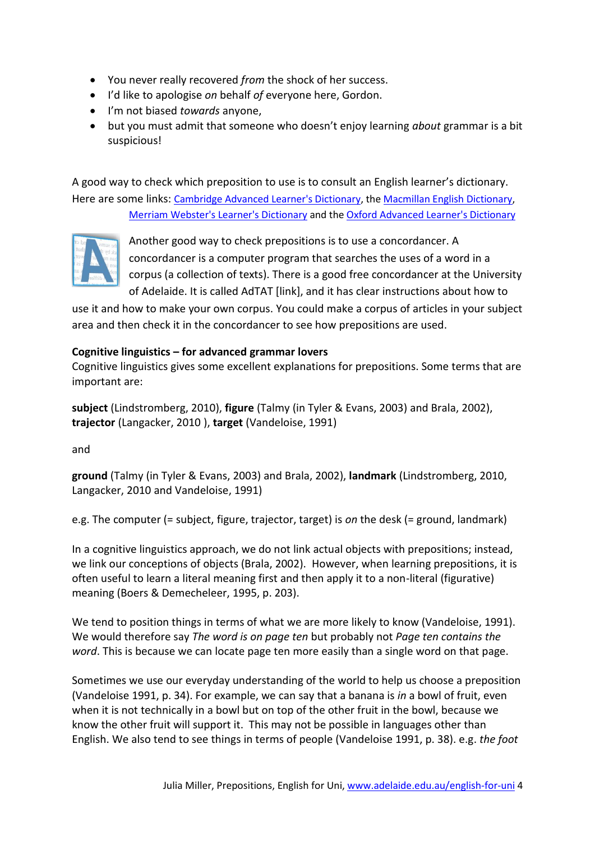- You never really recovered *from* the shock of her success.
- I'd like to apologise *on* behalf *of* everyone here, Gordon.
- I'm not biased *towards* anyone,
- but you must admit that someone who doesn't enjoy learning *about* grammar is a bit suspicious!

A good way to check which preposition to use is to consult an English learner's dictionary. Here are some links: [Cambridge Advanced Learner's Dictionary,](http://dictionary.cambridge.org/) th[e Macmillan English Dictionary,](http://www.macmillandictionary.com/) [Merriam Webster's Learner's Dictionary](http://www.learnersdictionary.com/) and th[e Oxford Advanced Learner's Dictionary](http://www.oxfordlearnersdictionaries.com/)



Another good way to check prepositions is to use a concordancer. A concordancer is a computer program that searches the uses of a word in a corpus (a collection of texts). There is a good free concordancer at the University of Adelaide. It is called AdTAT [link], and it has clear instructions about how to

use it and how to make your own corpus. You could make a corpus of articles in your subject area and then check it in the concordancer to see how prepositions are used.

## **Cognitive linguistics – for advanced grammar lovers**

Cognitive linguistics gives some excellent explanations for prepositions. Some terms that are important are:

**subject** (Lindstromberg, 2010), **figure** (Talmy (in Tyler & Evans, 2003) and Brala, 2002), **trajector** (Langacker, 2010 ), **target** (Vandeloise, 1991)

and

**ground** (Talmy (in Tyler & Evans, 2003) and Brala, 2002), **landmark** (Lindstromberg, 2010, Langacker, 2010 and Vandeloise, 1991)

e.g. The computer (= subject, figure, trajector, target) is *on* the desk (= ground, landmark)

In a cognitive linguistics approach, we do not link actual objects with prepositions; instead, we link our conceptions of objects (Brala, 2002). However, when learning prepositions, it is often useful to learn a literal meaning first and then apply it to a non-literal (figurative) meaning (Boers & Demecheleer, 1995, p. 203).

We tend to position things in terms of what we are more likely to know (Vandeloise, 1991). We would therefore say *The word is on page ten* but probably not *Page ten contains the word*. This is because we can locate page ten more easily than a single word on that page.

Sometimes we use our everyday understanding of the world to help us choose a preposition (Vandeloise 1991, p. 34). For example, we can say that a banana is *in* a bowl of fruit, even when it is not technically in a bowl but on top of the other fruit in the bowl, because we know the other fruit will support it. This may not be possible in languages other than English. We also tend to see things in terms of people (Vandeloise 1991, p. 38). e.g. *the foot*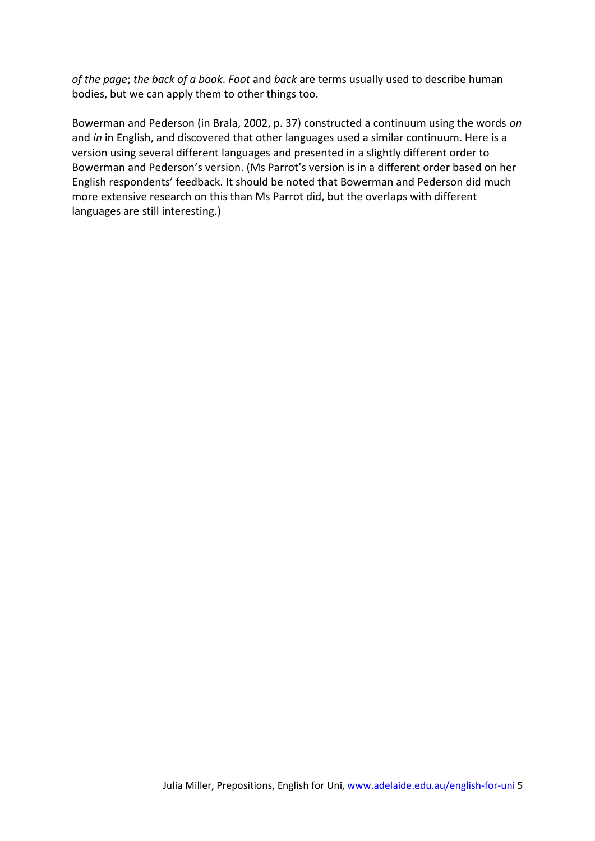*of the page*; *the back of a book*. *Foot* and *back* are terms usually used to describe human bodies, but we can apply them to other things too.

Bowerman and Pederson (in Brala, 2002, p. 37) constructed a continuum using the words *on* and *in* in English, and discovered that other languages used a similar continuum. Here is a version using several different languages and presented in a slightly different order to Bowerman and Pederson's version. (Ms Parrot's version is in a different order based on her English respondents' feedback. It should be noted that Bowerman and Pederson did much more extensive research on this than Ms Parrot did, but the overlaps with different languages are still interesting.)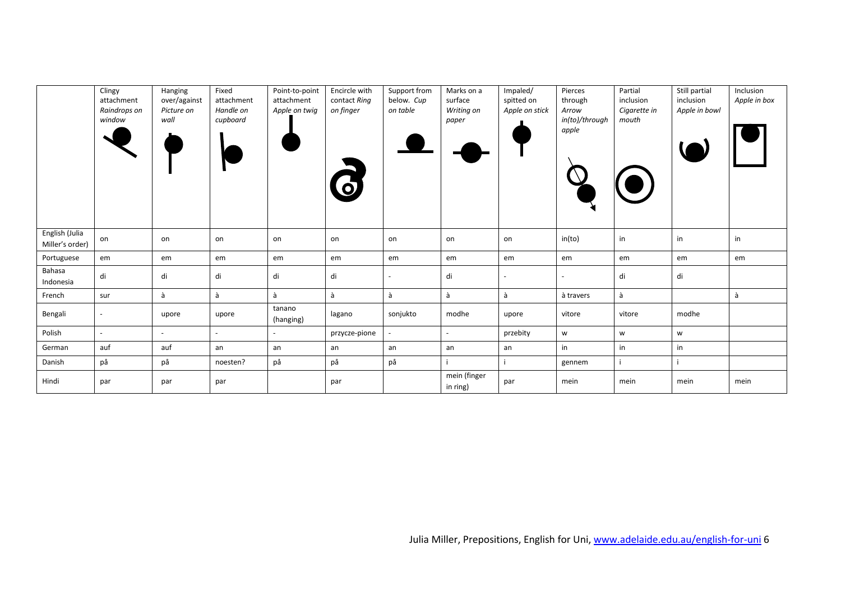|                                   | Clingy<br>attachment<br>Raindrops on<br>window | Hanging<br>over/against<br>Picture on<br>wall | Fixed<br>attachment<br>Handle on<br>cupboard | Point-to-point<br>attachment<br>Apple on twig | Encircle with<br>contact Ring<br>on finger | Support from<br>below. Cup<br>on table | Marks on a<br>surface<br>Writing on<br>paper | Impaled/<br>spitted on<br>Apple on stick | Pierces<br>through<br>Arrow<br>in(to)/through<br>apple | Partial<br>inclusion<br>Cigarette in<br>mouth | Still partial<br>inclusion<br>Apple in bowl | Inclusion<br>Apple in box |
|-----------------------------------|------------------------------------------------|-----------------------------------------------|----------------------------------------------|-----------------------------------------------|--------------------------------------------|----------------------------------------|----------------------------------------------|------------------------------------------|--------------------------------------------------------|-----------------------------------------------|---------------------------------------------|---------------------------|
| English (Julia<br>Miller's order) | on                                             | on                                            | on                                           | on                                            | on                                         | on                                     | on                                           | on                                       | in(to)                                                 | in                                            | in                                          | in                        |
| Portuguese                        | em                                             | em                                            | em                                           | em                                            | em                                         | em                                     | em                                           | em                                       | em                                                     | em                                            | em                                          | em                        |
| Bahasa<br>Indonesia               | di                                             | di                                            | di                                           | di                                            | di                                         |                                        | di                                           |                                          |                                                        | di                                            | di                                          |                           |
| French                            | sur                                            | à                                             | à                                            | à                                             | à                                          | à                                      | à                                            | à                                        | à travers                                              | à                                             |                                             | à                         |
| Bengali                           | $\overline{\phantom{a}}$                       | upore                                         | upore                                        | tanano<br>(hanging)                           | lagano                                     | sonjukto                               | modhe                                        | upore                                    | vitore                                                 | vitore                                        | modhe                                       |                           |
| Polish                            | $\sim$                                         |                                               |                                              |                                               | przycze-pione                              |                                        |                                              | przebity                                 | W                                                      | W                                             | W                                           |                           |
| German                            | auf                                            | auf                                           | an                                           | an                                            | an                                         | an                                     | an                                           | an                                       | in                                                     | in                                            | in                                          |                           |
| Danish                            | рå                                             | på                                            | noesten?                                     | på                                            | på                                         | på                                     |                                              |                                          | gennem                                                 |                                               |                                             |                           |
| Hindi                             | par                                            | par                                           | par                                          |                                               | par                                        |                                        | mein (finger<br>in ring)                     | par                                      | mein                                                   | mein                                          | mein                                        | mein                      |